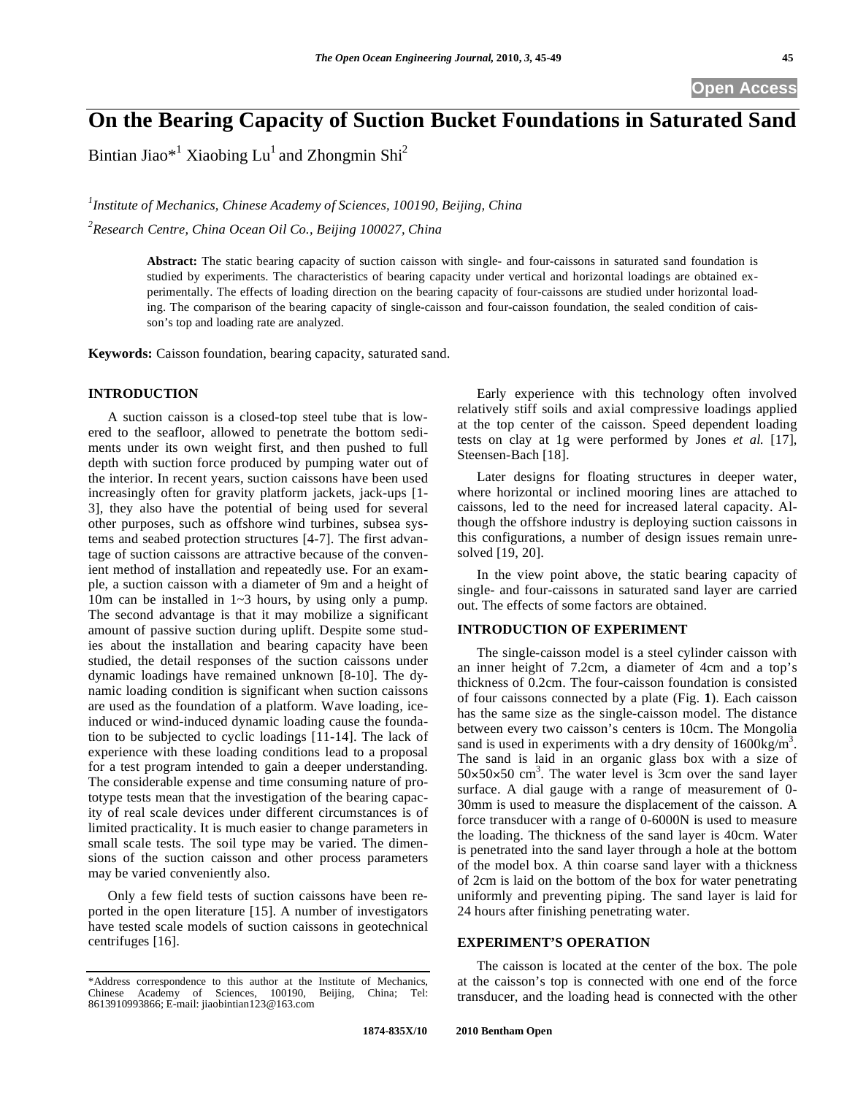**Open Access** 

Bintian Jiao\*<sup>1</sup> Xiaobing Lu<sup>1</sup> and Zhongmin Shi<sup>2</sup>

<sup>1</sup> Institute of Mechanics, Chinese Academy of Sciences, 100190, Beijing, China *2 Research Centre, China Ocean Oil Co., Beijing 100027, China* 

> **Abstract:** The static bearing capacity of suction caisson with single- and four-caissons in saturated sand foundation is studied by experiments. The characteristics of bearing capacity under vertical and horizontal loadings are obtained experimentally. The effects of loading direction on the bearing capacity of four-caissons are studied under horizontal loading. The comparison of the bearing capacity of single-caisson and four-caisson foundation, the sealed condition of caisson's top and loading rate are analyzed.

**Keywords:** Caisson foundation, bearing capacity, saturated sand.

### **INTRODUCTION**

A suction caisson is a closed-top steel tube that is lowered to the seafloor, allowed to penetrate the bottom sediments under its own weight first, and then pushed to full depth with suction force produced by pumping water out of the interior. In recent years, suction caissons have been used increasingly often for gravity platform jackets, jack-ups [1- 3], they also have the potential of being used for several other purposes, such as offshore wind turbines, subsea systems and seabed protection structures [4-7]. The first advantage of suction caissons are attractive because of the convenient method of installation and repeatedly use. For an example, a suction caisson with a diameter of 9m and a height of 10m can be installed in 1~3 hours, by using only a pump. The second advantage is that it may mobilize a significant amount of passive suction during uplift. Despite some studies about the installation and bearing capacity have been studied, the detail responses of the suction caissons under dynamic loadings have remained unknown [8-10]. The dynamic loading condition is significant when suction caissons are used as the foundation of a platform. Wave loading, iceinduced or wind-induced dynamic loading cause the foundation to be subjected to cyclic loadings [11-14]. The lack of experience with these loading conditions lead to a proposal for a test program intended to gain a deeper understanding. The considerable expense and time consuming nature of prototype tests mean that the investigation of the bearing capacity of real scale devices under different circumstances is of limited practicality. It is much easier to change parameters in small scale tests. The soil type may be varied. The dimensions of the suction caisson and other process parameters may be varied conveniently also.

Only a few field tests of suction caissons have been reported in the open literature [15]. A number of investigators have tested scale models of suction caissons in geotechnical centrifuges [16].

Early experience with this technology often involved relatively stiff soils and axial compressive loadings applied at the top center of the caisson. Speed dependent loading tests on clay at 1g were performed by Jones *et al.* [17], Steensen-Bach [18].

Later designs for floating structures in deeper water, where horizontal or inclined mooring lines are attached to caissons, led to the need for increased lateral capacity. Although the offshore industry is deploying suction caissons in this configurations, a number of design issues remain unresolved [19, 20].

In the view point above, the static bearing capacity of single- and four-caissons in saturated sand layer are carried out. The effects of some factors are obtained.

# **INTRODUCTION OF EXPERIMENT**

The single-caisson model is a steel cylinder caisson with an inner height of 7.2cm, a diameter of 4cm and a top's thickness of 0.2cm. The four-caisson foundation is consisted of four caissons connected by a plate (Fig. **1**). Each caisson has the same size as the single-caisson model. The distance between every two caisson's centers is 10cm. The Mongolia sand is used in experiments with a dry density of  $1600\text{kg/m}^3$ . The sand is laid in an organic glass box with a size of  $50\times50\times50$  cm<sup>3</sup>. The water level is 3cm over the sand layer surface. A dial gauge with a range of measurement of 0- 30mm is used to measure the displacement of the caisson. A force transducer with a range of 0-6000N is used to measure the loading. The thickness of the sand layer is 40cm. Water is penetrated into the sand layer through a hole at the bottom of the model box. A thin coarse sand layer with a thickness of 2cm is laid on the bottom of the box for water penetrating uniformly and preventing piping. The sand layer is laid for 24 hours after finishing penetrating water.

# **EXPERIMENT'S OPERATION**

The caisson is located at the center of the box. The pole at the caisson's top is connected with one end of the force transducer, and the loading head is connected with the other

<sup>\*</sup>Address correspondence to this author at the Institute of Mechanics, Chinese Academy of Sciences, 100190, Beijing, China; Tel: 8613910993866; E-mail: jiaobintian123@163.com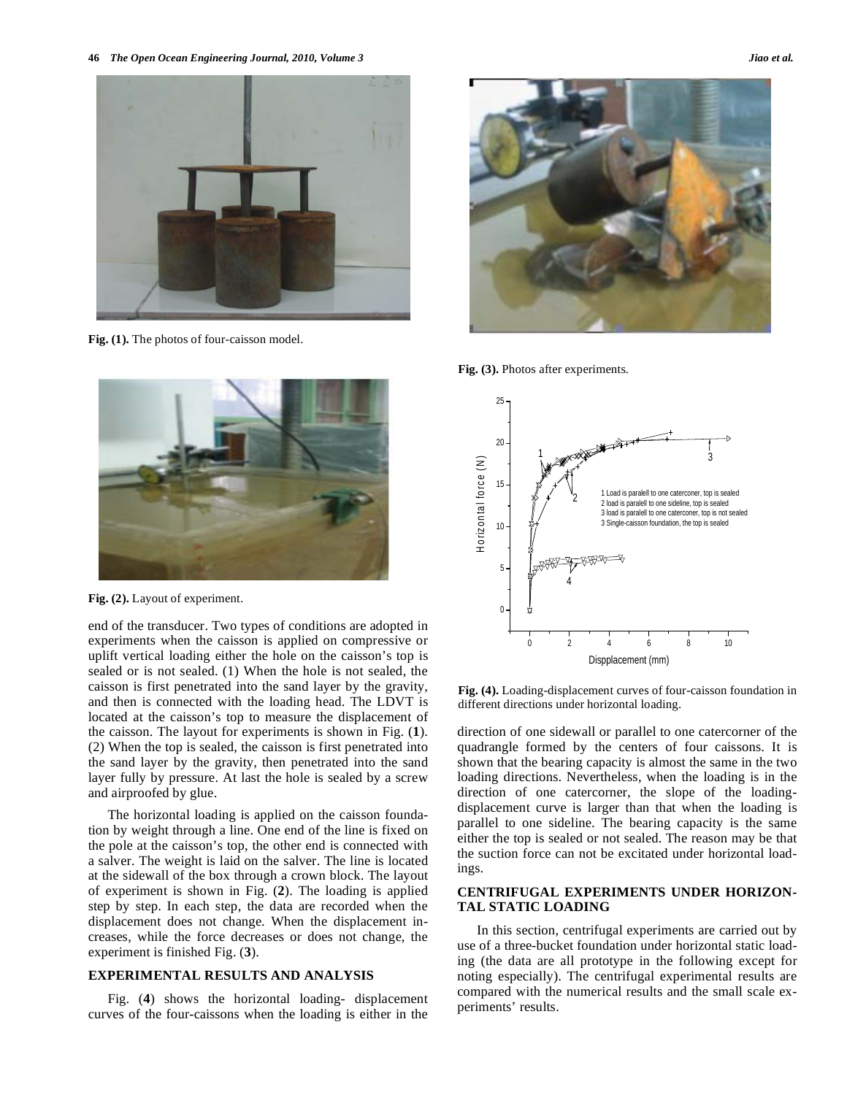

**Fig. (1).** The photos of four-caisson model.



**Fig. (2).** Layout of experiment.

end of the transducer. Two types of conditions are adopted in experiments when the caisson is applied on compressive or uplift vertical loading either the hole on the caisson's top is sealed or is not sealed. (1) When the hole is not sealed, the caisson is first penetrated into the sand layer by the gravity, and then is connected with the loading head. The LDVT is located at the caisson's top to measure the displacement of the caisson. The layout for experiments is shown in Fig. (**1**). (2) When the top is sealed, the caisson is first penetrated into the sand layer by the gravity, then penetrated into the sand layer fully by pressure. At last the hole is sealed by a screw and airproofed by glue.

The horizontal loading is applied on the caisson foundation by weight through a line. One end of the line is fixed on the pole at the caisson's top, the other end is connected with a salver. The weight is laid on the salver. The line is located at the sidewall of the box through a crown block. The layout of experiment is shown in Fig. (**2**). The loading is applied step by step. In each step, the data are recorded when the displacement does not change. When the displacement increases, while the force decreases or does not change, the experiment is finished Fig. (**3**).

# **EXPERIMENTAL RESULTS AND ANALYSIS**

Fig. (**4**) shows the horizontal loading- displacement curves of the four-caissons when the loading is either in the



**Fig. (3).** Photos after experiments.



**Fig. (4).** Loading-displacement curves of four-caisson foundation in different directions under horizontal loading.

direction of one sidewall or parallel to one catercorner of the quadrangle formed by the centers of four caissons. It is shown that the bearing capacity is almost the same in the two loading directions. Nevertheless, when the loading is in the direction of one catercorner, the slope of the loadingdisplacement curve is larger than that when the loading is parallel to one sideline. The bearing capacity is the same either the top is sealed or not sealed. The reason may be that the suction force can not be excitated under horizontal loadings.

# **CENTRIFUGAL EXPERIMENTS UNDER HORIZON-TAL STATIC LOADING**

In this section, centrifugal experiments are carried out by use of a three-bucket foundation under horizontal static loading (the data are all prototype in the following except for noting especially). The centrifugal experimental results are compared with the numerical results and the small scale experiments' results.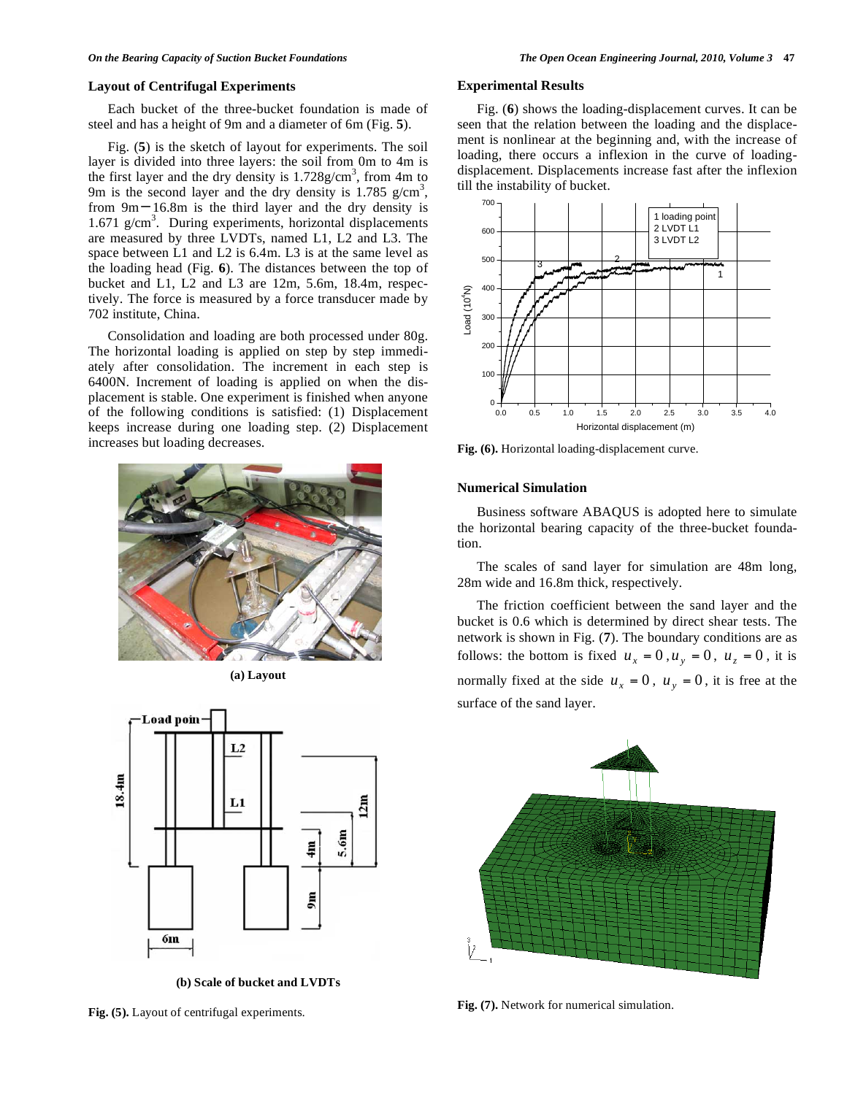### **Layout of Centrifugal Experiments**

Each bucket of the three-bucket foundation is made of steel and has a height of 9m and a diameter of 6m (Fig. **5**).

Fig. (**5**) is the sketch of layout for experiments. The soil layer is divided into three layers: the soil from 0m to 4m is the first layer and the dry density is  $1.728$  g/cm<sup>3</sup>, from 4m to 9m is the second layer and the dry density is  $1.785$  g/cm<sup>3</sup>, from  $9m-16.8m$  is the third layer and the dry density is 1.671 g/cm<sup>3</sup>. During experiments, horizontal displacements are measured by three LVDTs, named L1, L2 and L3. The space between L1 and L2 is 6.4m. L3 is at the same level as the loading head (Fig. **6**). The distances between the top of bucket and L1, L2 and L3 are 12m, 5.6m, 18.4m, respectively. The force is measured by a force transducer made by 702 institute, China.

Consolidation and loading are both processed under 80g. The horizontal loading is applied on step by step immediately after consolidation. The increment in each step is 6400N. Increment of loading is applied on when the displacement is stable. One experiment is finished when anyone of the following conditions is satisfied: (1) Displacement keeps increase during one loading step. (2) Displacement increases but loading decreases.



**(a) Layout** 



**(b) Scale of bucket and LVDTs** 

**Fig. (5).** Layout of centrifugal experiments.

#### **Experimental Results**

Fig. (**6**) shows the loading-displacement curves. It can be seen that the relation between the loading and the displacement is nonlinear at the beginning and, with the increase of loading, there occurs a inflexion in the curve of loadingdisplacement. Displacements increase fast after the inflexion till the instability of bucket.



**Fig. (6).** Horizontal loading-displacement curve.

### **Numerical Simulation**

Business software ABAQUS is adopted here to simulate the horizontal bearing capacity of the three-bucket foundation.

The scales of sand layer for simulation are 48m long, 28m wide and 16.8m thick, respectively.

The friction coefficient between the sand layer and the bucket is 0.6 which is determined by direct shear tests. The network is shown in Fig. (**7**). The boundary conditions are as follows: the bottom is fixed  $u_x = 0$ ,  $u_y = 0$ ,  $u_z = 0$ , it is normally fixed at the side  $u_x = 0$ ,  $u_y = 0$ , it is free at the surface of the sand layer.



**Fig. (7).** Network for numerical simulation.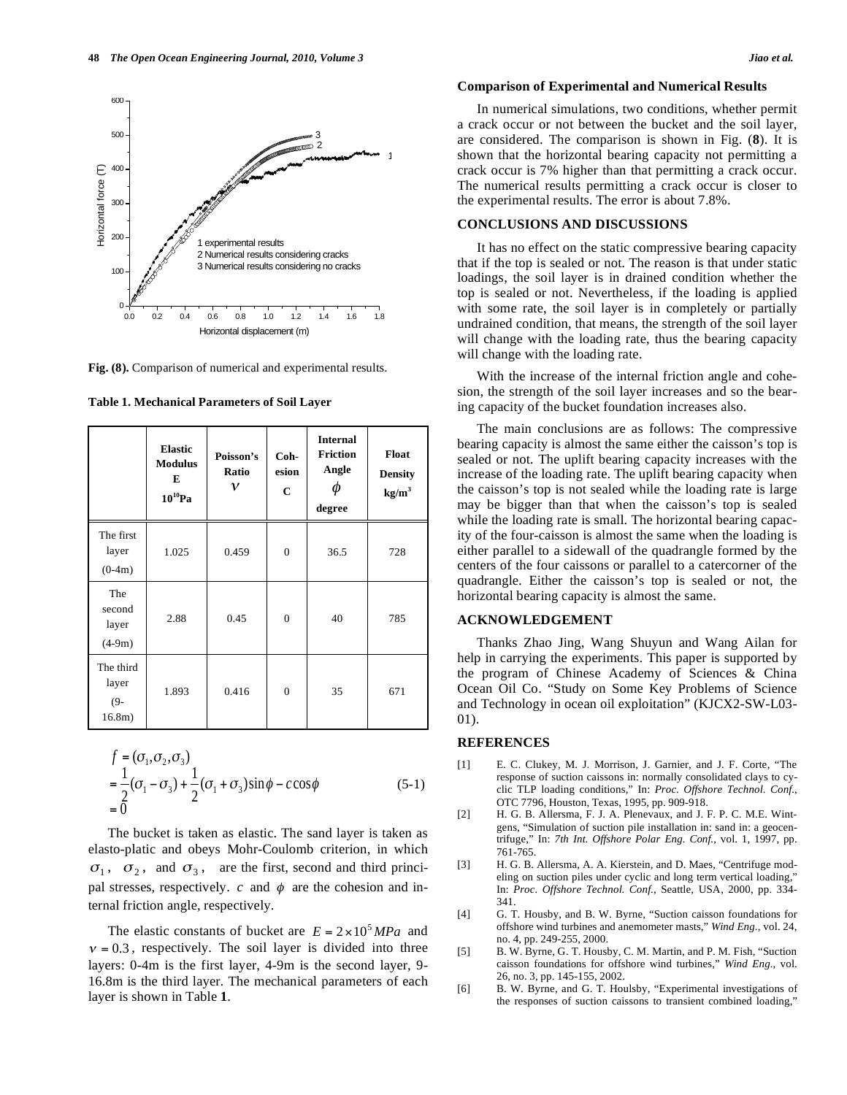

Fig. (8). Comparison of numerical and experimental results.

|                                        | <b>Elastic</b><br><b>Modulus</b><br>E<br>$10^{10}$ Pa | Poisson's<br>Ratio<br>$\mathcal V$ | $Coh-$<br>esion<br>$\mathbf C$ | <b>Internal</b><br><b>Friction</b><br>Angle<br>⋒<br>degree | Float<br><b>Density</b><br>kg/m <sup>3</sup> |
|----------------------------------------|-------------------------------------------------------|------------------------------------|--------------------------------|------------------------------------------------------------|----------------------------------------------|
| The first<br>layer<br>$(0-4m)$         | 1.025                                                 | 0.459                              | $\mathbf{0}$                   | 36.5                                                       | 728                                          |
| The<br>second<br>layer<br>$(4-9m)$     | 2.88                                                  | 0.45                               | $\boldsymbol{0}$               | 40                                                         | 785                                          |
| The third<br>layer<br>$(9 -$<br>16.8m) | 1.893                                                 | 0.416                              | $\mathbf{0}$                   | 35                                                         | 671                                          |

$$
f = (\sigma_1, \sigma_2, \sigma_3)
$$
  
=  $\frac{1}{2}(\sigma_1 - \sigma_3) + \frac{1}{2}(\sigma_1 + \sigma_3) \sin \phi - c \cos \phi$  (5-1)  
= 0

The bucket is taken as elastic. The sand layer is taken as elasto-platic and obeys Mohr-Coulomb criterion, in which  $\sigma_1$ ,  $\sigma_2$ , and  $\sigma_3$ , are the first, second and third principal stresses, respectively.  $c$  and  $\phi$  are the cohesion and internal friction angle, respectively.

The elastic constants of bucket are  $E = 2 \times 10^5 MPa$  and  $v = 0.3$ , respectively. The soil layer is divided into three layers: 0-4m is the first layer, 4-9m is the second layer, 9- 16.8m is the third layer. The mechanical parameters of each layer is shown in Table **1**.

### **Comparison of Experimental and Numerical Results**

In numerical simulations, two conditions, whether permit a crack occur or not between the bucket and the soil layer, are considered. The comparison is shown in Fig. (**8**). It is shown that the horizontal bearing capacity not permitting a crack occur is 7% higher than that permitting a crack occur. The numerical results permitting a crack occur is closer to the experimental results. The error is about 7.8%.

### **CONCLUSIONS AND DISCUSSIONS**

It has no effect on the static compressive bearing capacity that if the top is sealed or not. The reason is that under static loadings, the soil layer is in drained condition whether the top is sealed or not. Nevertheless, if the loading is applied with some rate, the soil layer is in completely or partially undrained condition, that means, the strength of the soil layer will change with the loading rate, thus the bearing capacity will change with the loading rate.

With the increase of the internal friction angle and cohesion, the strength of the soil layer increases and so the bearing capacity of the bucket foundation increases also.

The main conclusions are as follows: The compressive bearing capacity is almost the same either the caisson's top is sealed or not. The uplift bearing capacity increases with the increase of the loading rate. The uplift bearing capacity when the caisson's top is not sealed while the loading rate is large may be bigger than that when the caisson's top is sealed while the loading rate is small. The horizontal bearing capacity of the four-caisson is almost the same when the loading is either parallel to a sidewall of the quadrangle formed by the centers of the four caissons or parallel to a catercorner of the quadrangle. Either the caisson's top is sealed or not, the horizontal bearing capacity is almost the same.

# **ACKNOWLEDGEMENT**

Thanks Zhao Jing, Wang Shuyun and Wang Ailan for help in carrying the experiments. This paper is supported by the program of Chinese Academy of Sciences & China Ocean Oil Co. "Study on Some Key Problems of Science and Technology in ocean oil exploitation" (KJCX2-SW-L03- 01).

# **REFERENCES**

- [1] E. C. Clukey, M. J. Morrison, J. Garnier, and J. F. Corte, "The response of suction caissons in: normally consolidated clays to cyclic TLP loading conditions," In: *Proc. Offshore Technol. Conf.*, OTC 7796, Houston, Texas, 1995, pp. 909-918.
- [2] H. G. B. Allersma, F. J. A. Plenevaux, and J. F. P. C. M.E. Wintgens, "Simulation of suction pile installation in: sand in: a geocentrifuge," In: *7th Int. Offshore Polar Eng. Conf.*, vol. 1, 1997, pp. 761-765.
- [3] H. G. B. Allersma, A. A. Kierstein, and D. Maes, "Centrifuge modeling on suction piles under cyclic and long term vertical loading," In: *Proc. Offshore Technol. Conf.*, Seattle, USA, 2000, pp. 334- 341.
- [4] G. T. Housby, and B. W. Byrne, "Suction caisson foundations for offshore wind turbines and anemometer masts," *Wind Eng.*, vol. 24, no. 4, pp. 249-255, 2000.
- [5] B. W. Byrne, G. T. Housby, C. M. Martin, and P. M. Fish, "Suction caisson foundations for offshore wind turbines," *Wind Eng.*, vol. 26, no. 3, pp. 145-155, 2002.
- [6] B. W. Byrne, and G. T. Houlsby, "Experimental investigations of the responses of suction caissons to transient combined loading,"